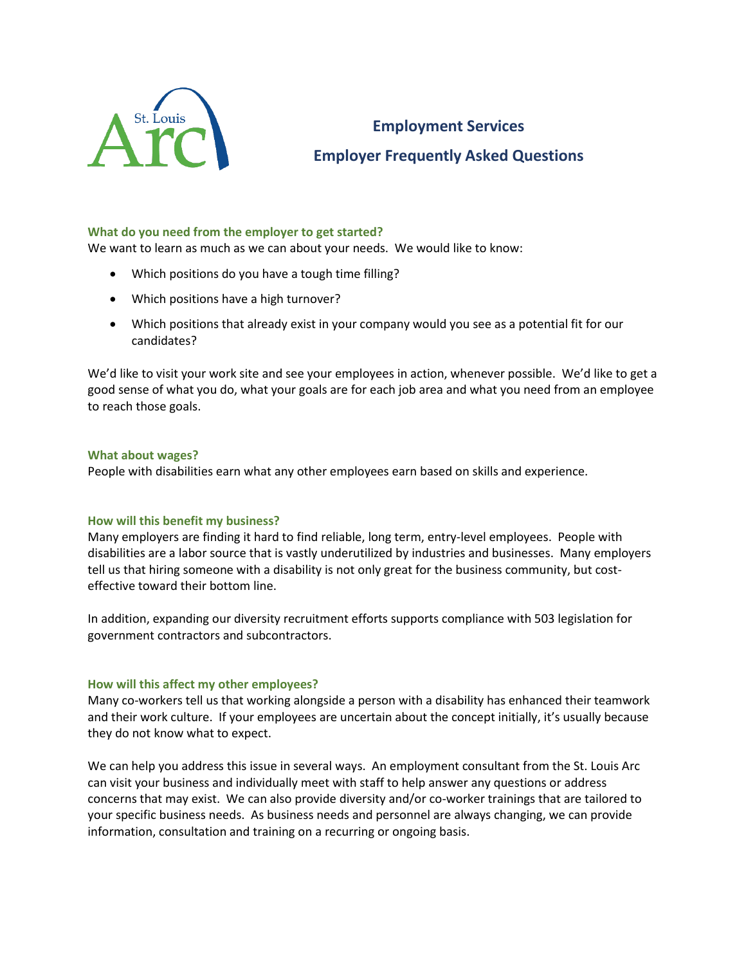

# **Employment Services**

# **Employer Frequently Asked Questions**

# **What do you need from the employer to get started?**

We want to learn as much as we can about your needs. We would like to know:

- Which positions do you have a tough time filling?
- Which positions have a high turnover?
- Which positions that already exist in your company would you see as a potential fit for our candidates?

We'd like to visit your work site and see your employees in action, whenever possible. We'd like to get a good sense of what you do, what your goals are for each job area and what you need from an employee to reach those goals.

# **What about wages?**

People with disabilities earn what any other employees earn based on skills and experience.

# **How will this benefit my business?**

Many employers are finding it hard to find reliable, long term, entry-level employees. People with disabilities are a labor source that is vastly underutilized by industries and businesses. Many employers tell us that hiring someone with a disability is not only great for the business community, but costeffective toward their bottom line.

In addition, expanding our diversity recruitment efforts supports compliance with 503 legislation for government contractors and subcontractors.

#### **How will this affect my other employees?**

Many co-workers tell us that working alongside a person with a disability has enhanced their teamwork and their work culture. If your employees are uncertain about the concept initially, it's usually because they do not know what to expect.

We can help you address this issue in several ways. An employment consultant from the St. Louis Arc can visit your business and individually meet with staff to help answer any questions or address concerns that may exist. We can also provide diversity and/or co-worker trainings that are tailored to your specific business needs. As business needs and personnel are always changing, we can provide information, consultation and training on a recurring or ongoing basis.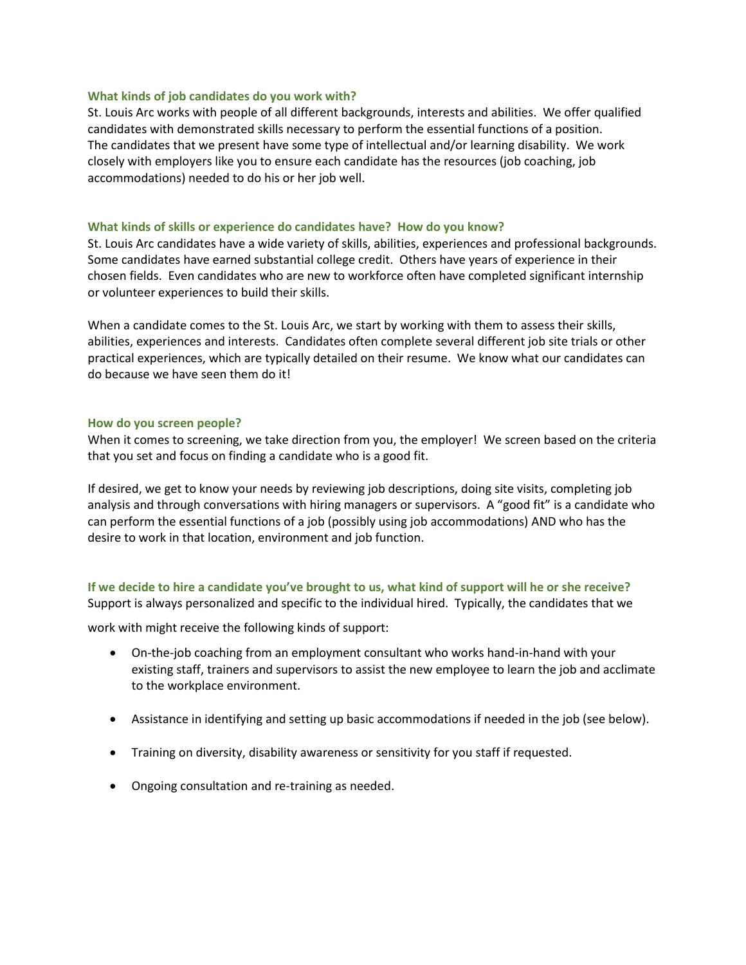#### **What kinds of job candidates do you work with?**

St. Louis Arc works with people of all different backgrounds, interests and abilities. We offer qualified candidates with demonstrated skills necessary to perform the essential functions of a position. The candidates that we present have some type of intellectual and/or learning disability. We work closely with employers like you to ensure each candidate has the resources (job coaching, job accommodations) needed to do his or her job well.

#### **What kinds of skills or experience do candidates have? How do you know?**

St. Louis Arc candidates have a wide variety of skills, abilities, experiences and professional backgrounds. Some candidates have earned substantial college credit. Others have years of experience in their chosen fields. Even candidates who are new to workforce often have completed significant internship or volunteer experiences to build their skills.

When a candidate comes to the St. Louis Arc, we start by working with them to assess their skills, abilities, experiences and interests. Candidates often complete several different job site trials or other practical experiences, which are typically detailed on their resume. We know what our candidates can do because we have seen them do it!

#### **How do you screen people?**

When it comes to screening, we take direction from you, the employer! We screen based on the criteria that you set and focus on finding a candidate who is a good fit.

If desired, we get to know your needs by reviewing job descriptions, doing site visits, completing job analysis and through conversations with hiring managers or supervisors. A "good fit" is a candidate who can perform the essential functions of a job (possibly using job accommodations) AND who has the desire to work in that location, environment and job function.

# **If we decide to hire a candidate you've brought to us, what kind of support will he or she receive?** Support is always personalized and specific to the individual hired. Typically, the candidates that we

work with might receive the following kinds of support:

- On-the-job coaching from an employment consultant who works hand-in-hand with your existing staff, trainers and supervisors to assist the new employee to learn the job and acclimate to the workplace environment.
- Assistance in identifying and setting up basic accommodations if needed in the job (see below).
- Training on diversity, disability awareness or sensitivity for you staff if requested.
- Ongoing consultation and re-training as needed.